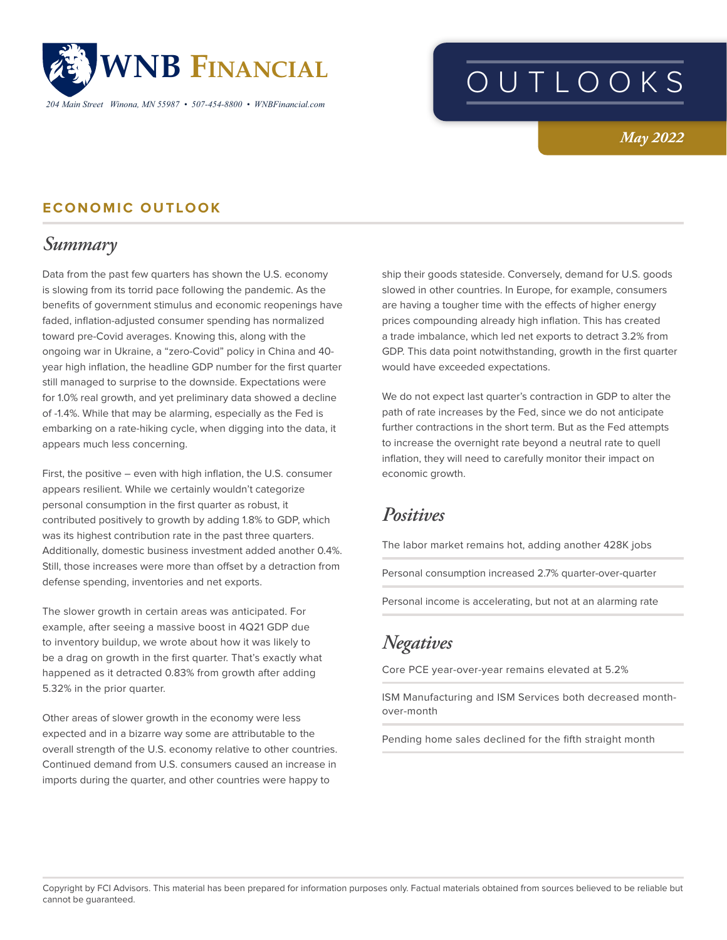

*204 Main Street Winona, MN 55987 • 507-454-8800 • WNBFinancial.com*

# OUTLOOKS

*May 2022*

### **ECONOMIC OUTLOOK**

# *Summary*

Data from the past few quarters has shown the U.S. economy is slowing from its torrid pace following the pandemic. As the benefits of government stimulus and economic reopenings have faded, inflation-adjusted consumer spending has normalized toward pre-Covid averages. Knowing this, along with the ongoing war in Ukraine, a "zero-Covid" policy in China and 40 year high inflation, the headline GDP number for the first quarter still managed to surprise to the downside. Expectations were for 1.0% real growth, and yet preliminary data showed a decline of -1.4%. While that may be alarming, especially as the Fed is embarking on a rate-hiking cycle, when digging into the data, it appears much less concerning.

First, the positive – even with high inflation, the U.S. consumer appears resilient. While we certainly wouldn't categorize personal consumption in the first quarter as robust, it contributed positively to growth by adding 1.8% to GDP, which was its highest contribution rate in the past three quarters. Additionally, domestic business investment added another 0.4%. Still, those increases were more than offset by a detraction from defense spending, inventories and net exports.

The slower growth in certain areas was anticipated. For example, after seeing a massive boost in 4Q21 GDP due to inventory buildup, we wrote about how it was likely to be a drag on growth in the first quarter. That's exactly what happened as it detracted 0.83% from growth after adding 5.32% in the prior quarter.

Other areas of slower growth in the economy were less expected and in a bizarre way some are attributable to the overall strength of the U.S. economy relative to other countries. Continued demand from U.S. consumers caused an increase in imports during the quarter, and other countries were happy to

ship their goods stateside. Conversely, demand for U.S. goods slowed in other countries. In Europe, for example, consumers are having a tougher time with the effects of higher energy prices compounding already high inflation. This has created a trade imbalance, which led net exports to detract 3.2% from GDP. This data point notwithstanding, growth in the first quarter would have exceeded expectations.

We do not expect last quarter's contraction in GDP to alter the path of rate increases by the Fed, since we do not anticipate further contractions in the short term. But as the Fed attempts to increase the overnight rate beyond a neutral rate to quell inflation, they will need to carefully monitor their impact on economic growth.

# *Positives*

The labor market remains hot, adding another 428K jobs

Personal consumption increased 2.7% quarter-over-quarter

Personal income is accelerating, but not at an alarming rate

# *Negatives*

Core PCE year-over-year remains elevated at 5.2%

ISM Manufacturing and ISM Services both decreased monthover-month

Pending home sales declined for the fifth straight month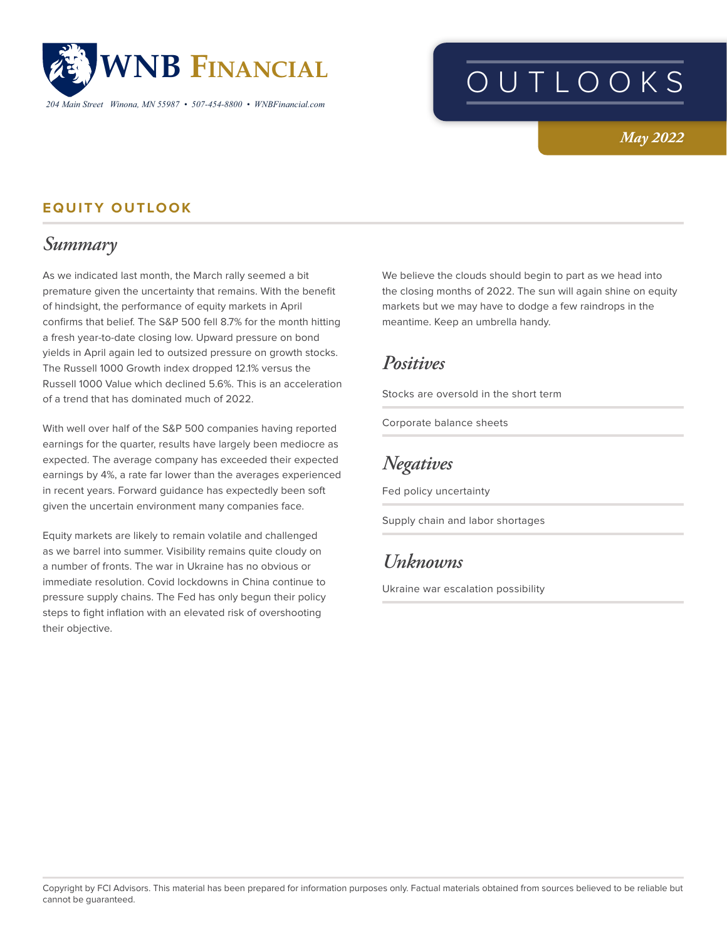

*204 Main Street Winona, MN 55987 • 507-454-8800 • WNBFinancial.com*

# OUTLOOKS

### *May 2022*

### **EQUITY OUTLOOK**

# *Summary*

As we indicated last month, the March rally seemed a bit premature given the uncertainty that remains. With the benefit of hindsight, the performance of equity markets in April confirms that belief. The S&P 500 fell 8.7% for the month hitting a fresh year-to-date closing low. Upward pressure on bond yields in April again led to outsized pressure on growth stocks. The Russell 1000 Growth index dropped 12.1% versus the Russell 1000 Value which declined 5.6%. This is an acceleration of a trend that has dominated much of 2022.

With well over half of the S&P 500 companies having reported earnings for the quarter, results have largely been mediocre as expected. The average company has exceeded their expected earnings by 4%, a rate far lower than the averages experienced in recent years. Forward guidance has expectedly been soft given the uncertain environment many companies face.

Equity markets are likely to remain volatile and challenged as we barrel into summer. Visibility remains quite cloudy on a number of fronts. The war in Ukraine has no obvious or immediate resolution. Covid lockdowns in China continue to pressure supply chains. The Fed has only begun their policy steps to fight inflation with an elevated risk of overshooting their objective.

We believe the clouds should begin to part as we head into the closing months of 2022. The sun will again shine on equity markets but we may have to dodge a few raindrops in the meantime. Keep an umbrella handy.

## *Positives*

Stocks are oversold in the short term

Corporate balance sheets

# *Negatives*

Fed policy uncertainty

Supply chain and labor shortages

# *Unknowns*

Ukraine war escalation possibility